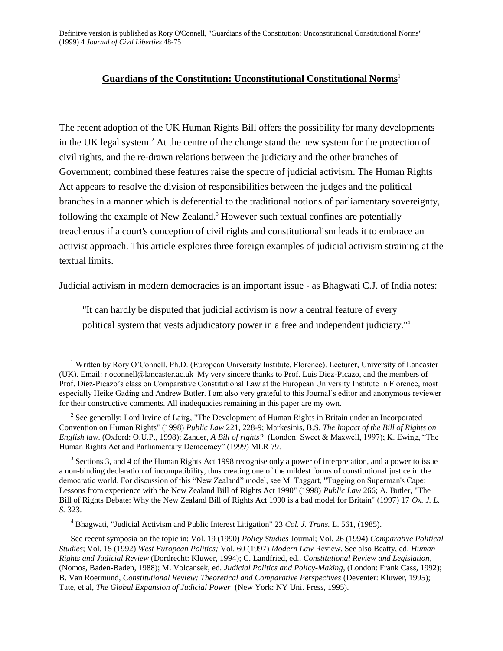# **Guardians of the Constitution: Unconstitutional Constitutional Norms**<sup>1</sup>

The recent adoption of the UK Human Rights Bill offers the possibility for many developments in the UK legal system.<sup>2</sup> At the centre of the change stand the new system for the protection of civil rights, and the re-drawn relations between the judiciary and the other branches of Government; combined these features raise the spectre of judicial activism. The Human Rights Act appears to resolve the division of responsibilities between the judges and the political branches in a manner which is deferential to the traditional notions of parliamentary sovereignty, following the example of New Zealand.<sup>3</sup> However such textual confines are potentially treacherous if a court's conception of civil rights and constitutionalism leads it to embrace an activist approach. This article explores three foreign examples of judicial activism straining at the textual limits.

Judicial activism in modern democracies is an important issue - as Bhagwati C.J. of India notes:

"It can hardly be disputed that judicial activism is now a central feature of every political system that vests adjudicatory power in a free and independent judiciary."<sup>4</sup>

<sup>1</sup> Written by Rory O'Connell, Ph.D. (European University Institute, Florence). Lecturer, University of Lancaster (UK). Email: r.oconnell@lancaster.ac.uk My very sincere thanks to Prof. Luis Diez-Picazo, and the members of Prof. Diez-Picazo's class on Comparative Constitutional Law at the European University Institute in Florence, most especially Heike Gading and Andrew Butler. I am also very grateful to this Journal's editor and anonymous reviewer for their constructive comments. All inadequacies remaining in this paper are my own.

 $2^2$  See generally: Lord Irvine of Lairg, "The Development of Human Rights in Britain under an Incorporated Convention on Human Rights" (1998) *Public Law* 221, 228-9; Markesinis, B.S. *The Impact of the Bill of Rights on English law*. (Oxford: O.U.P., 1998); Zander, *A Bill of rights?* (London: Sweet & Maxwell, 1997); K. Ewing, "The Human Rights Act and Parliamentary Democracy" (1999) MLR 79.

 $3$  Sections 3, and 4 of the Human Rights Act 1998 recognise only a power of interpretation, and a power to issue a non-binding declaration of incompatibility, thus creating one of the mildest forms of constitutional justice in the democratic world. For discussion of this "New Zealand" model, see M. Taggart, "Tugging on Superman's Cape: Lessons from experience with the New Zealand Bill of Rights Act 1990" (1998) *Public Law* 266; A. Butler, "The Bill of Rights Debate: Why the New Zealand Bill of Rights Act 1990 is a bad model for Britain" (1997) 17 *Ox. J. L. S.* 323.

<sup>4</sup> Bhagwati, "Judicial Activism and Public Interest Litigation" 23 *Col. J. Trans.* L. 561, (1985).

See recent symposia on the topic in: Vol. 19 (1990) *Policy Studies* Journal; Vol. 26 (1994) *Comparative Political Studies*; Vol. 15 (1992) *West European Politics;* Vol. 60 (1997) *Modern Law* Review. See also Beatty, ed. *Human Rights and Judicial Review* (Dordrecht: Kluwer, 1994); C. Landfried, ed., *Constitutional Review and Legislation*, (Nomos, Baden-Baden, 1988); M. Volcansek, ed. *Judicial Politics and Policy-Making*, (London: Frank Cass, 1992); B. Van Roermund, *Constitutional Review: Theoretical and Comparative Perspectives* (Deventer: Kluwer, 1995); Tate, et al, *The Global Expansion of Judicial Power* (New York: NY Uni. Press, 1995).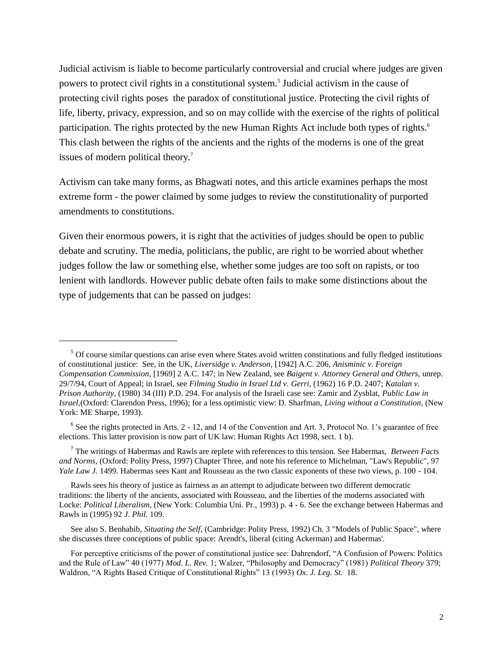Judicial activism is liable to become particularly controversial and crucial where judges are given powers to protect civil rights in a constitutional system.<sup>5</sup> Judicial activism in the cause of protecting civil rights poses the paradox of constitutional justice. Protecting the civil rights of life, liberty, privacy, expression, and so on may collide with the exercise of the rights of political participation. The rights protected by the new Human Rights Act include both types of rights.<sup>6</sup> This clash between the rights of the ancients and the rights of the moderns is one of the great issues of modern political theory.<sup>7</sup>

Activism can take many forms, as Bhagwati notes, and this article examines perhaps the most extreme form - the power claimed by some judges to review the constitutionality of purported amendments to constitutions.

Given their enormous powers, it is right that the activities of judges should be open to public debate and scrutiny. The media, politicians, the public, are right to be worried about whether judges follow the law or something else, whether some judges are too soft on rapists, or too lenient with landlords. However public debate often fails to make some distinctions about the type of judgements that can be passed on judges:

<sup>&</sup>lt;sup>5</sup> Of course similar questions can arise even where States avoid written constitutions and fully fledged institutions of constitutional justice: See, in the UK, *Liversidge v. Anderson*, [1942] A.C. 206, *Anisminic v. Foreign Compensation Commission*, [1969] 2 A.C. 147; in New Zealand, see *Baigent v. Attorney General and Others,* unrep. 29/7/94, Court of Appeal; in Israel, see *Filming Studio in Israel Ltd v. Gerri*, (1962) 16 P.D. 2407; *Katalan v. Prison Authority*, (1980) 34 (III) P.D. 294. For analysis of the Israeli case see: Zamir and Zysblat, *Public Law in Israel,*(Oxford: Clarendon Press, 1996); for a less optimistic view: D. Sharfman, *Living without a Constitution*, (New York: ME Sharpe, 1993).

 $6$  See the rights protected in Arts. 2 - 12, and 14 of the Convention and Art. 3, Protocol No. 1's guarantee of free elections. This latter provision is now part of UK law: Human Rights Act 1998, sect. 1 b).

<sup>7</sup> The writings of Habermas and Rawls are replete with references to this tension. See Habermas, *Between Facts and Norms*, (Oxford: Polity Press, 1997) Chapter Three, and note his reference to Michelman, "Law's Republic", 97 *Yale Law J.* 1499. Habermas sees Kant and Rousseau as the two classic exponents of these two views, p. 100 - 104.

Rawls sees his theory of justice as fairness as an attempt to adjudicate between two different democratic traditions: the liberty of the ancients, associated with Rousseau, and the liberties of the moderns associated with Locke: *Political Liberalism*, (New York: Columbia Uni. Pr., 1993) p. 4 - 6. See the exchange between Habermas and Rawls in (1995) 92 *J. Phil.* 109.

See also S. Benhabib, *Situating the Self*, (Cambridge: Polity Press, 1992) Ch. 3 "Models of Public Space", where she discusses three conceptions of public space: Arendt's, liberal (citing Ackerman) and Habermas'.

For perceptive criticisms of the power of constitutional justice see: Dahrendorf, "A Confusion of Powers: Politics and the Rule of Law" 40 (1977) *Mod. L. Rev.* 1; Walzer, "Philosophy and Democracy" (1981) *Political Theory* 379; Waldron, "A Rights Based Critique of Constitutional Rights" 13 (1993) *Ox. J. Leg. St.* 18.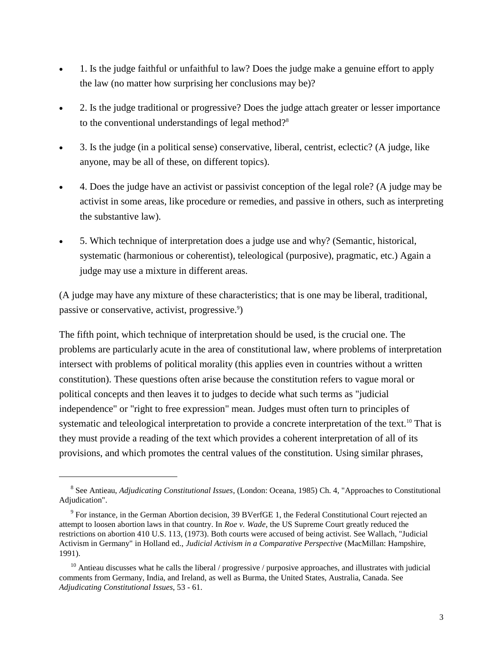- 1. Is the judge faithful or unfaithful to law? Does the judge make a genuine effort to apply the law (no matter how surprising her conclusions may be)?
- 2. Is the judge traditional or progressive? Does the judge attach greater or lesser importance to the conventional understandings of legal method?<sup>8</sup>
- 3. Is the judge (in a political sense) conservative, liberal, centrist, eclectic? (A judge, like anyone, may be all of these, on different topics).
- 4. Does the judge have an activist or passivist conception of the legal role? (A judge may be activist in some areas, like procedure or remedies, and passive in others, such as interpreting the substantive law).
- 5. Which technique of interpretation does a judge use and why? (Semantic, historical, systematic (harmonious or coherentist), teleological (purposive), pragmatic, etc.) Again a judge may use a mixture in different areas.

(A judge may have any mixture of these characteristics; that is one may be liberal, traditional, passive or conservative, activist, progressive.<sup>9</sup>)

The fifth point, which technique of interpretation should be used, is the crucial one. The problems are particularly acute in the area of constitutional law, where problems of interpretation intersect with problems of political morality (this applies even in countries without a written constitution). These questions often arise because the constitution refers to vague moral or political concepts and then leaves it to judges to decide what such terms as "judicial independence" or "right to free expression" mean. Judges must often turn to principles of systematic and teleological interpretation to provide a concrete interpretation of the text.<sup>10</sup> That is they must provide a reading of the text which provides a coherent interpretation of all of its provisions, and which promotes the central values of the constitution. Using similar phrases,

<sup>8</sup> See Antieau, *Adjudicating Constitutional Issues*, (London: Oceana, 1985) Ch. 4, "Approaches to Constitutional Adjudication".

<sup>&</sup>lt;sup>9</sup> For instance, in the German Abortion decision, 39 BVerfGE 1, the Federal Constitutional Court rejected an attempt to loosen abortion laws in that country. In *Roe v. Wade*, the US Supreme Court greatly reduced the restrictions on abortion 410 U.S. 113, (1973). Both courts were accused of being activist. See Wallach, "Judicial Activism in Germany" in Holland ed., *Judicial Activism in a Comparative Perspective* (MacMillan: Hampshire, 1991).

 $10$  Antieau discusses what he calls the liberal / progressive / purposive approaches, and illustrates with judicial comments from Germany, India, and Ireland, as well as Burma, the United States, Australia, Canada. See *Adjudicating Constitutional Issues*, 53 - 61.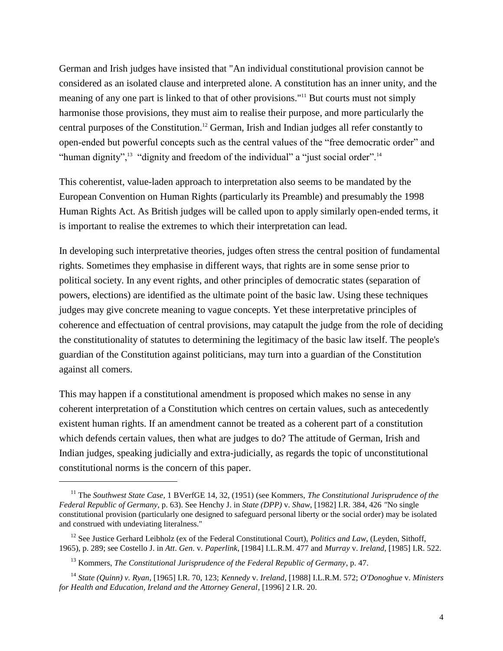German and Irish judges have insisted that "An individual constitutional provision cannot be considered as an isolated clause and interpreted alone. A constitution has an inner unity, and the meaning of any one part is linked to that of other provisions."<sup>11</sup> But courts must not simply harmonise those provisions, they must aim to realise their purpose, and more particularly the central purposes of the Constitution.<sup>12</sup> German, Irish and Indian judges all refer constantly to open-ended but powerful concepts such as the central values of the "free democratic order" and "human dignity",<sup>13</sup> "dignity and freedom of the individual" a "just social order".<sup>14</sup>

This coherentist, value-laden approach to interpretation also seems to be mandated by the European Convention on Human Rights (particularly its Preamble) and presumably the 1998 Human Rights Act. As British judges will be called upon to apply similarly open-ended terms, it is important to realise the extremes to which their interpretation can lead.

In developing such interpretative theories, judges often stress the central position of fundamental rights. Sometimes they emphasise in different ways, that rights are in some sense prior to political society. In any event rights, and other principles of democratic states (separation of powers, elections) are identified as the ultimate point of the basic law. Using these techniques judges may give concrete meaning to vague concepts. Yet these interpretative principles of coherence and effectuation of central provisions, may catapult the judge from the role of deciding the constitutionality of statutes to determining the legitimacy of the basic law itself. The people's guardian of the Constitution against politicians, may turn into a guardian of the Constitution against all comers.

This may happen if a constitutional amendment is proposed which makes no sense in any coherent interpretation of a Constitution which centres on certain values, such as antecedently existent human rights. If an amendment cannot be treated as a coherent part of a constitution which defends certain values, then what are judges to do? The attitude of German, Irish and Indian judges, speaking judicially and extra-judicially, as regards the topic of unconstitutional constitutional norms is the concern of this paper.

<sup>11</sup> The *Southwest State Case*, 1 BVerfGE 14, 32, (1951) (see Kommers, *The Constitutional Jurisprudence of the Federal Republic of Germany*, p. 63). See Henchy J. in *State (DPP)* v. *Shaw*, [1982] I.R. 384, 426 *"*No single constitutional provision (particularly one designed to safeguard personal liberty or the social order) may be isolated and construed with undeviating literalness."

<sup>&</sup>lt;sup>12</sup> See Justice Gerhard Leibholz (ex of the Federal Constitutional Court), *Politics and Law*, (Leyden, Sithoff, 1965), p. 289; see Costello J. in *Att*. *Gen*. v. *Paperlink*, [1984] I.L.R.M. 477 and *Murray* v. *Ireland*, [1985] I.R. 522.

<sup>13</sup> Kommers, *The Constitutional Jurisprudence of the Federal Republic of Germany*, p. 47.

<sup>14</sup> *State (Quinn) v. Ryan*, [1965] I.R. 70, 123; *Kennedy* v. *Ireland*, [1988] I.L.R.M. 572; *O'Donoghue* v. *Ministers for Health and Education, Ireland and the Attorney General*, [1996] 2 I.R. 20.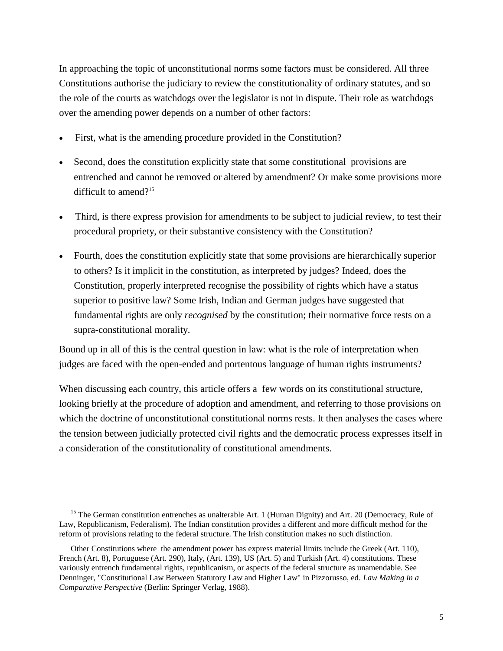In approaching the topic of unconstitutional norms some factors must be considered. All three Constitutions authorise the judiciary to review the constitutionality of ordinary statutes, and so the role of the courts as watchdogs over the legislator is not in dispute. Their role as watchdogs over the amending power depends on a number of other factors:

- First, what is the amending procedure provided in the Constitution?
- Second, does the constitution explicitly state that some constitutional provisions are entrenched and cannot be removed or altered by amendment? Or make some provisions more difficult to amend?<sup>15</sup>
- Third, is there express provision for amendments to be subject to judicial review, to test their procedural propriety, or their substantive consistency with the Constitution?
- Fourth, does the constitution explicitly state that some provisions are hierarchically superior to others? Is it implicit in the constitution, as interpreted by judges? Indeed, does the Constitution, properly interpreted recognise the possibility of rights which have a status superior to positive law? Some Irish, Indian and German judges have suggested that fundamental rights are only *recognised* by the constitution; their normative force rests on a supra-constitutional morality.

Bound up in all of this is the central question in law: what is the role of interpretation when judges are faced with the open-ended and portentous language of human rights instruments?

When discussing each country, this article offers a few words on its constitutional structure, looking briefly at the procedure of adoption and amendment, and referring to those provisions on which the doctrine of unconstitutional constitutional norms rests. It then analyses the cases where the tension between judicially protected civil rights and the democratic process expresses itself in a consideration of the constitutionality of constitutional amendments.

<sup>&</sup>lt;sup>15</sup> The German constitution entrenches as unalterable Art. 1 (Human Dignity) and Art. 20 (Democracy, Rule of Law, Republicanism, Federalism). The Indian constitution provides a different and more difficult method for the reform of provisions relating to the federal structure. The Irish constitution makes no such distinction.

Other Constitutions where the amendment power has express material limits include the Greek (Art. 110), French (Art. 8), Portuguese (Art. 290), Italy, (Art. 139), US (Art. 5) and Turkish (Art. 4) constitutions. These variously entrench fundamental rights, republicanism, or aspects of the federal structure as unamendable. See Denninger, "Constitutional Law Between Statutory Law and Higher Law" in Pizzorusso, ed. *Law Making in a Comparative Perspective* (Berlin: Springer Verlag, 1988).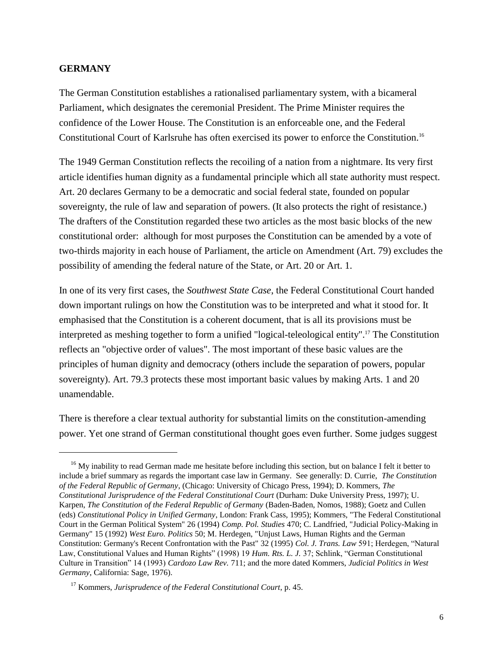#### **GERMANY**

The German Constitution establishes a rationalised parliamentary system, with a bicameral Parliament, which designates the ceremonial President. The Prime Minister requires the confidence of the Lower House. The Constitution is an enforceable one, and the Federal Constitutional Court of Karlsruhe has often exercised its power to enforce the Constitution.<sup>16</sup>

The 1949 German Constitution reflects the recoiling of a nation from a nightmare. Its very first article identifies human dignity as a fundamental principle which all state authority must respect. Art. 20 declares Germany to be a democratic and social federal state, founded on popular sovereignty, the rule of law and separation of powers. (It also protects the right of resistance.) The drafters of the Constitution regarded these two articles as the most basic blocks of the new constitutional order: although for most purposes the Constitution can be amended by a vote of two-thirds majority in each house of Parliament, the article on Amendment (Art. 79) excludes the possibility of amending the federal nature of the State, or Art. 20 or Art. 1.

In one of its very first cases, the *Southwest State Case*, the Federal Constitutional Court handed down important rulings on how the Constitution was to be interpreted and what it stood for. It emphasised that the Constitution is a coherent document, that is all its provisions must be interpreted as meshing together to form a unified "logical-teleological entity".<sup>17</sup> The Constitution reflects an "objective order of values". The most important of these basic values are the principles of human dignity and democracy (others include the separation of powers, popular sovereignty). Art. 79.3 protects these most important basic values by making Arts. 1 and 20 unamendable.

There is therefore a clear textual authority for substantial limits on the constitution-amending power. Yet one strand of German constitutional thought goes even further. Some judges suggest

 $16$  My inability to read German made me hesitate before including this section, but on balance I felt it better to include a brief summary as regards the important case law in Germany. See generally: D. Currie, *The Constitution of the Federal Republic of Germany*, (Chicago: University of Chicago Press, 1994); D. Kommers, *The Constitutional Jurisprudence of the Federal Constitutional Court* (Durham: Duke University Press, 1997); U. Karpen, *The Constitution of the Federal Republic of Germany* (Baden-Baden, Nomos, 1988); Goetz and Cullen (eds) *Constitutional Policy in Unified Germany*, London: Frank Cass, 1995); Kommers, "The Federal Constitutional Court in the German Political System" 26 (1994) *Comp. Pol. Studies* 470; C. Landfried, "Judicial Policy-Making in Germany" 15 (1992) *West Euro. Politics* 50; M. Herdegen, "Unjust Laws, Human Rights and the German Constitution: Germany's Recent Confrontation with the Past" 32 (1995) *Col. J. Trans. Law* 591; Herdegen, "Natural Law, Constitutional Values and Human Rights" (1998) 19 *Hum. Rts. L. J.* 37; Schlink, "German Constitutional Culture in Transition" 14 (1993) *Cardozo Law Rev.* 711; and the more dated Kommers, *Judicial Politics in West Germany*, California: Sage, 1976).

<sup>17</sup> Kommers, *Jurisprudence of the Federal Constitutional Court*, p. 45.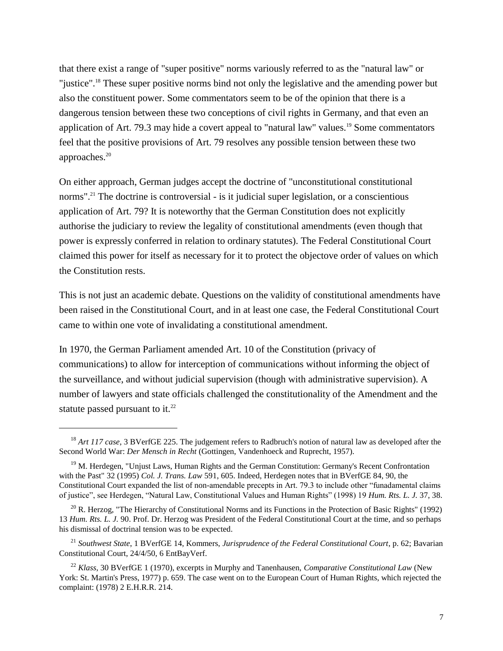that there exist a range of "super positive" norms variously referred to as the "natural law" or "justice".<sup>18</sup> These super positive norms bind not only the legislative and the amending power but also the constituent power. Some commentators seem to be of the opinion that there is a dangerous tension between these two conceptions of civil rights in Germany, and that even an application of Art. 79.3 may hide a covert appeal to "natural law" values.<sup>19</sup> Some commentators feel that the positive provisions of Art. 79 resolves any possible tension between these two approaches.<sup>20</sup>

On either approach, German judges accept the doctrine of "unconstitutional constitutional norms".<sup>21</sup> The doctrine is controversial - is it judicial super legislation, or a conscientious application of Art. 79? It is noteworthy that the German Constitution does not explicitly authorise the judiciary to review the legality of constitutional amendments (even though that power is expressly conferred in relation to ordinary statutes). The Federal Constitutional Court claimed this power for itself as necessary for it to protect the objectove order of values on which the Constitution rests.

This is not just an academic debate. Questions on the validity of constitutional amendments have been raised in the Constitutional Court, and in at least one case, the Federal Constitutional Court came to within one vote of invalidating a constitutional amendment.

In 1970, the German Parliament amended Art. 10 of the Constitution (privacy of communications) to allow for interception of communications without informing the object of the surveillance, and without judicial supervision (though with administrative supervision). A number of lawyers and state officials challenged the constitutionality of the Amendment and the statute passed pursuant to it. $^{22}$ 

<sup>&</sup>lt;sup>18</sup> *Art 117 case*, 3 BVerfGE 225. The judgement refers to Radbruch's notion of natural law as developed after the Second World War: *Der Mensch in Recht* (Gottingen, Vandenhoeck and Ruprecht, 1957).

<sup>&</sup>lt;sup>19</sup> M. Herdegen, "Unjust Laws, Human Rights and the German Constitution: Germany's Recent Confrontation with the Past" 32 (1995) *Col. J. Trans. Law* 591, 605. Indeed, Herdegen notes that in BVerfGE 84, 90, the Constitutional Court expanded the list of non-amendable precepts in Art. 79.3 to include other "funadamental claims of justice", see Herdegen, "Natural Law, Constitutional Values and Human Rights" (1998) 19 *Hum. Rts. L. J.* 37, 38.

 $^{20}$  R. Herzog, "The Hierarchy of Constitutional Norms and its Functions in the Protection of Basic Rights" (1992) 13 *Hum. Rts. L. J.* 90. Prof. Dr. Herzog was President of the Federal Constitutional Court at the time, and so perhaps his dismissal of doctrinal tension was to be expected.

<sup>21</sup> *Southwest State*, 1 BVerfGE 14, Kommers, *Jurisprudence of the Federal Constitutional Court*, p. 62; Bavarian Constitutional Court, 24/4/50, 6 EntBayVerf.

<sup>22</sup> *Klass*, 30 BVerfGE 1 (1970), excerpts in Murphy and Tanenhausen, *Comparative Constitutional Law* (New York: St. Martin's Press, 1977) p. 659. The case went on to the European Court of Human Rights, which rejected the complaint: (1978) 2 E.H.R.R. 214.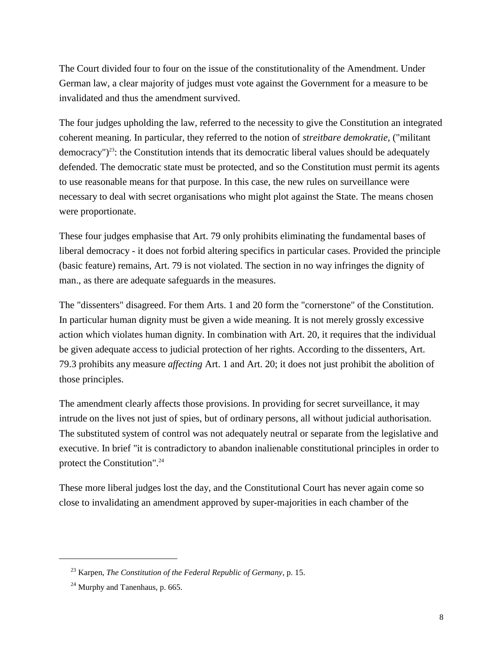The Court divided four to four on the issue of the constitutionality of the Amendment. Under German law, a clear majority of judges must vote against the Government for a measure to be invalidated and thus the amendment survived.

The four judges upholding the law, referred to the necessity to give the Constitution an integrated coherent meaning. In particular, they referred to the notion of *streitbare demokratie*, ("militant  $\alpha$  democracy")<sup>23</sup>: the Constitution intends that its democratic liberal values should be adequately defended. The democratic state must be protected, and so the Constitution must permit its agents to use reasonable means for that purpose. In this case, the new rules on surveillance were necessary to deal with secret organisations who might plot against the State. The means chosen were proportionate.

These four judges emphasise that Art. 79 only prohibits eliminating the fundamental bases of liberal democracy - it does not forbid altering specifics in particular cases. Provided the principle (basic feature) remains, Art. 79 is not violated. The section in no way infringes the dignity of man., as there are adequate safeguards in the measures.

The "dissenters" disagreed. For them Arts. 1 and 20 form the "cornerstone" of the Constitution. In particular human dignity must be given a wide meaning. It is not merely grossly excessive action which violates human dignity. In combination with Art. 20, it requires that the individual be given adequate access to judicial protection of her rights. According to the dissenters, Art. 79.3 prohibits any measure *affecting* Art. 1 and Art. 20; it does not just prohibit the abolition of those principles.

The amendment clearly affects those provisions. In providing for secret surveillance, it may intrude on the lives not just of spies, but of ordinary persons, all without judicial authorisation. The substituted system of control was not adequately neutral or separate from the legislative and executive. In brief "it is contradictory to abandon inalienable constitutional principles in order to protect the Constitution".<sup>24</sup>

These more liberal judges lost the day, and the Constitutional Court has never again come so close to invalidating an amendment approved by super-majorities in each chamber of the

<sup>23</sup> Karpen, *The Constitution of the Federal Republic of Germany*, p. 15.

 $24$  Murphy and Tanenhaus, p. 665.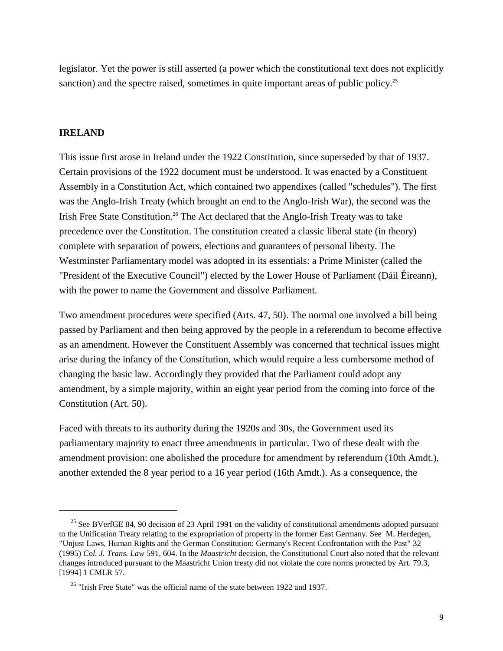legislator. Yet the power is still asserted (a power which the constitutional text does not explicitly sanction) and the spectre raised, sometimes in quite important areas of public policy.<sup>25</sup>

## **IRELAND**

This issue first arose in Ireland under the 1922 Constitution, since superseded by that of 1937. Certain provisions of the 1922 document must be understood. It was enacted by a Constituent Assembly in a Constitution Act, which contained two appendixes (called "schedules"). The first was the Anglo-Irish Treaty (which brought an end to the Anglo-Irish War), the second was the Irish Free State Constitution.<sup>26</sup> The Act declared that the Anglo-Irish Treaty was to take precedence over the Constitution. The constitution created a classic liberal state (in theory) complete with separation of powers, elections and guarantees of personal liberty. The Westminster Parliamentary model was adopted in its essentials: a Prime Minister (called the "President of the Executive Council") elected by the Lower House of Parliament (Dáil Éireann), with the power to name the Government and dissolve Parliament.

Two amendment procedures were specified (Arts. 47, 50). The normal one involved a bill being passed by Parliament and then being approved by the people in a referendum to become effective as an amendment. However the Constituent Assembly was concerned that technical issues might arise during the infancy of the Constitution, which would require a less cumbersome method of changing the basic law. Accordingly they provided that the Parliament could adopt any amendment, by a simple majority, within an eight year period from the coming into force of the Constitution (Art. 50).

Faced with threats to its authority during the 1920s and 30s, the Government used its parliamentary majority to enact three amendments in particular. Two of these dealt with the amendment provision: one abolished the procedure for amendment by referendum (10th Amdt.), another extended the 8 year period to a 16 year period (16th Amdt.). As a consequence, the

<sup>&</sup>lt;sup>25</sup> See BVerfGE 84, 90 decision of 23 April 1991 on the validity of constitutional amendments adopted pursuant to the Unification Treaty relating to the expropriation of property in the former East Germany. See M. Herdegen, "Unjust Laws, Human Rights and the German Constitution: Germany's Recent Confrontation with the Past" 32 (1995) *Col. J. Trans. Law* 591, 604. In the *Maastricht* decision, the Constitutional Court also noted that the relevant changes introduced pursuant to the Maastricht Union treaty did not violate the core norms protected by Art. 79.3, [1994] 1 CMLR 57.

 $26$  "Irish Free State" was the official name of the state between 1922 and 1937.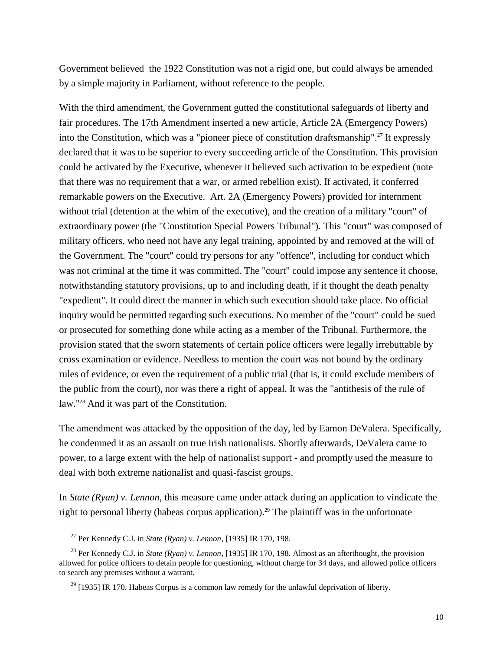Government believed the 1922 Constitution was not a rigid one, but could always be amended by a simple majority in Parliament, without reference to the people.

With the third amendment, the Government gutted the constitutional safeguards of liberty and fair procedures. The 17th Amendment inserted a new article, Article 2A (Emergency Powers) into the Constitution, which was a "pioneer piece of constitution draftsmanship".<sup>27</sup> It expressly declared that it was to be superior to every succeeding article of the Constitution. This provision could be activated by the Executive, whenever it believed such activation to be expedient (note that there was no requirement that a war, or armed rebellion exist). If activated, it conferred remarkable powers on the Executive. Art. 2A (Emergency Powers) provided for internment without trial (detention at the whim of the executive), and the creation of a military "court" of extraordinary power (the "Constitution Special Powers Tribunal"). This "court" was composed of military officers, who need not have any legal training, appointed by and removed at the will of the Government. The "court" could try persons for any "offence", including for conduct which was not criminal at the time it was committed. The "court" could impose any sentence it choose, notwithstanding statutory provisions, up to and including death, if it thought the death penalty "expedient". It could direct the manner in which such execution should take place. No official inquiry would be permitted regarding such executions. No member of the "court" could be sued or prosecuted for something done while acting as a member of the Tribunal. Furthermore, the provision stated that the sworn statements of certain police officers were legally irrebuttable by cross examination or evidence. Needless to mention the court was not bound by the ordinary rules of evidence, or even the requirement of a public trial (that is, it could exclude members of the public from the court), nor was there a right of appeal. It was the "antithesis of the rule of law."<sup>28</sup> And it was part of the Constitution.

The amendment was attacked by the opposition of the day, led by Eamon DeValera. Specifically, he condemned it as an assault on true Irish nationalists. Shortly afterwards, DeValera came to power, to a large extent with the help of nationalist support - and promptly used the measure to deal with both extreme nationalist and quasi-fascist groups.

In *State (Ryan) v. Lennon*, this measure came under attack during an application to vindicate the right to personal liberty (habeas corpus application).<sup>29</sup> The plaintiff was in the unfortunate

<sup>27</sup> Per Kennedy C.J. in *State (Ryan) v. Lennon*, [1935] IR 170, 198.

<sup>28</sup> Per Kennedy C.J. in *State (Ryan) v. Lennon*, [1935] IR 170, 198. Almost as an afterthought, the provision allowed for police officers to detain people for questioning, without charge for 34 days, and allowed police officers to search any premises without a warrant.

 $^{29}$  [1935] IR 170. Habeas Corpus is a common law remedy for the unlawful deprivation of liberty.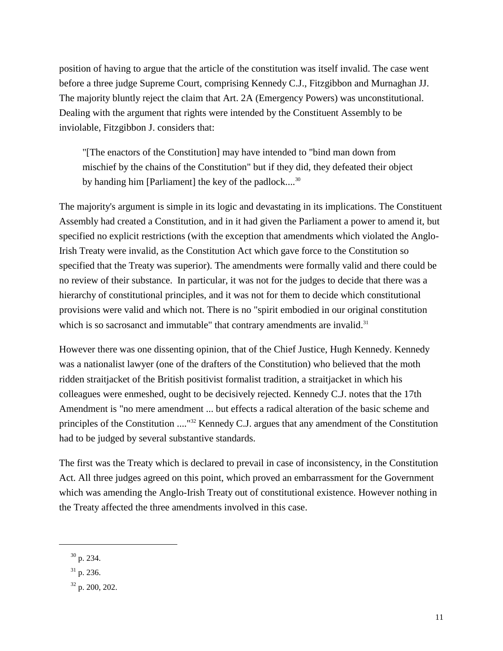position of having to argue that the article of the constitution was itself invalid. The case went before a three judge Supreme Court, comprising Kennedy C.J., Fitzgibbon and Murnaghan JJ. The majority bluntly reject the claim that Art. 2A (Emergency Powers) was unconstitutional. Dealing with the argument that rights were intended by the Constituent Assembly to be inviolable, Fitzgibbon J. considers that:

"[The enactors of the Constitution] may have intended to "bind man down from mischief by the chains of the Constitution" but if they did, they defeated their object by handing him [Parliament] the key of the padlock....<sup>30</sup>

The majority's argument is simple in its logic and devastating in its implications. The Constituent Assembly had created a Constitution, and in it had given the Parliament a power to amend it, but specified no explicit restrictions (with the exception that amendments which violated the Anglo-Irish Treaty were invalid, as the Constitution Act which gave force to the Constitution so specified that the Treaty was superior). The amendments were formally valid and there could be no review of their substance. In particular, it was not for the judges to decide that there was a hierarchy of constitutional principles, and it was not for them to decide which constitutional provisions were valid and which not. There is no "spirit embodied in our original constitution which is so sacrosanct and immutable" that contrary amendments are invalid.<sup>31</sup>

However there was one dissenting opinion, that of the Chief Justice, Hugh Kennedy. Kennedy was a nationalist lawyer (one of the drafters of the Constitution) who believed that the moth ridden straitjacket of the British positivist formalist tradition, a straitjacket in which his colleagues were enmeshed, ought to be decisively rejected. Kennedy C.J. notes that the 17th Amendment is "no mere amendment ... but effects a radical alteration of the basic scheme and principles of the Constitution ...."<sup>32</sup> Kennedy C.J. argues that any amendment of the Constitution had to be judged by several substantive standards.

The first was the Treaty which is declared to prevail in case of inconsistency, in the Constitution Act. All three judges agreed on this point, which proved an embarrassment for the Government which was amending the Anglo-Irish Treaty out of constitutional existence. However nothing in the Treaty affected the three amendments involved in this case.

<sup>30</sup> p. 234.

 $31$  p. 236.

<sup>32</sup> p. 200, 202.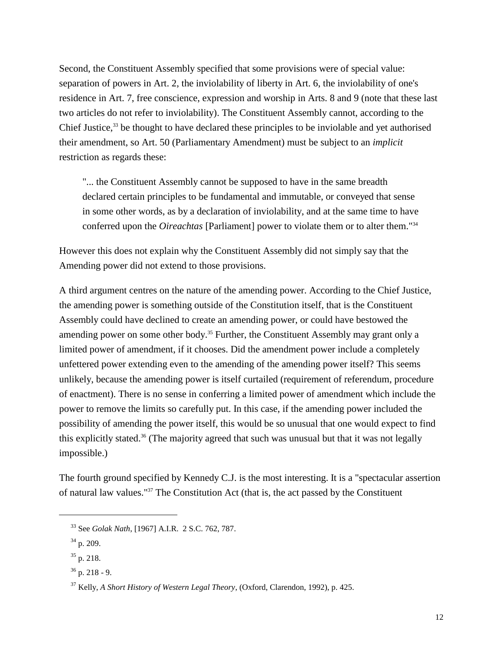Second, the Constituent Assembly specified that some provisions were of special value: separation of powers in Art. 2, the inviolability of liberty in Art. 6, the inviolability of one's residence in Art. 7, free conscience, expression and worship in Arts. 8 and 9 (note that these last two articles do not refer to inviolability). The Constituent Assembly cannot, according to the Chief Justice, $33$  be thought to have declared these principles to be inviolable and yet authorised their amendment, so Art. 50 (Parliamentary Amendment) must be subject to an *implicit* restriction as regards these:

"... the Constituent Assembly cannot be supposed to have in the same breadth declared certain principles to be fundamental and immutable, or conveyed that sense in some other words, as by a declaration of inviolability, and at the same time to have conferred upon the *Oireachtas* [Parliament] power to violate them or to alter them."<sup>34</sup>

However this does not explain why the Constituent Assembly did not simply say that the Amending power did not extend to those provisions.

A third argument centres on the nature of the amending power. According to the Chief Justice, the amending power is something outside of the Constitution itself, that is the Constituent Assembly could have declined to create an amending power, or could have bestowed the amending power on some other body.<sup>35</sup> Further, the Constituent Assembly may grant only a limited power of amendment, if it chooses. Did the amendment power include a completely unfettered power extending even to the amending of the amending power itself? This seems unlikely, because the amending power is itself curtailed (requirement of referendum, procedure of enactment). There is no sense in conferring a limited power of amendment which include the power to remove the limits so carefully put. In this case, if the amending power included the possibility of amending the power itself, this would be so unusual that one would expect to find this explicitly stated.<sup>36</sup> (The majority agreed that such was unusual but that it was not legally impossible.)

The fourth ground specified by Kennedy C.J. is the most interesting. It is a "spectacular assertion of natural law values."<sup>37</sup> The Constitution Act (that is, the act passed by the Constituent

<sup>33</sup> See *Golak Nath*, [1967] A.I.R. 2 S.C. 762, 787.

 $34$  p. 209.

 $35$  p. 218.

 $36$  p. 218 - 9.

<sup>37</sup> Kelly, *A Short History of Western Legal Theory*, (Oxford, Clarendon, 1992), p. 425.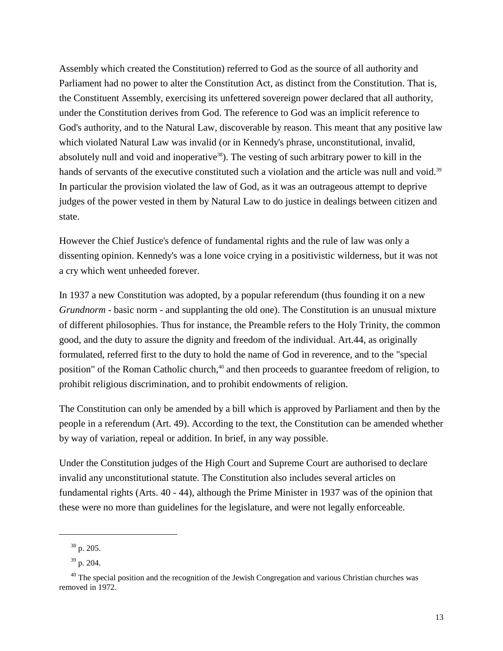Assembly which created the Constitution) referred to God as the source of all authority and Parliament had no power to alter the Constitution Act, as distinct from the Constitution. That is, the Constituent Assembly, exercising its unfettered sovereign power declared that all authority, under the Constitution derives from God. The reference to God was an implicit reference to God's authority, and to the Natural Law, discoverable by reason. This meant that any positive law which violated Natural Law was invalid (or in Kennedy's phrase, unconstitutional, invalid, absolutely null and void and inoperative<sup>38</sup>). The vesting of such arbitrary power to kill in the hands of servants of the executive constituted such a violation and the article was null and void.<sup>39</sup> In particular the provision violated the law of God, as it was an outrageous attempt to deprive judges of the power vested in them by Natural Law to do justice in dealings between citizen and state.

However the Chief Justice's defence of fundamental rights and the rule of law was only a dissenting opinion. Kennedy's was a lone voice crying in a positivistic wilderness, but it was not a cry which went unheeded forever.

In 1937 a new Constitution was adopted, by a popular referendum (thus founding it on a new *Grundnorm* - basic norm - and supplanting the old one). The Constitution is an unusual mixture of different philosophies. Thus for instance, the Preamble refers to the Holy Trinity, the common good, and the duty to assure the dignity and freedom of the individual. Art.44, as originally formulated, referred first to the duty to hold the name of God in reverence, and to the "special position" of the Roman Catholic church,<sup>40</sup> and then proceeds to guarantee freedom of religion, to prohibit religious discrimination, and to prohibit endowments of religion.

The Constitution can only be amended by a bill which is approved by Parliament and then by the people in a referendum (Art. 49). According to the text, the Constitution can be amended whether by way of variation, repeal or addition. In brief, in any way possible.

Under the Constitution judges of the High Court and Supreme Court are authorised to declare invalid any unconstitutional statute. The Constitution also includes several articles on fundamental rights (Arts. 40 - 44), although the Prime Minister in 1937 was of the opinion that these were no more than guidelines for the legislature, and were not legally enforceable.

<sup>38</sup> p. 205.

<sup>39</sup> p. 204.

 $40$  The special position and the recognition of the Jewish Congregation and various Christian churches was removed in 1972.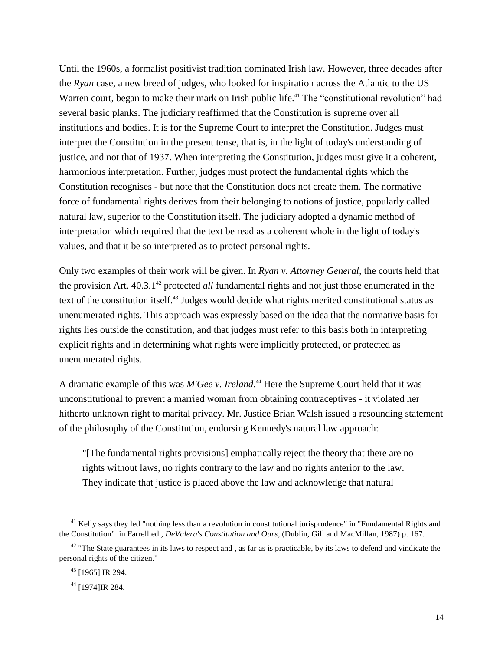Until the 1960s, a formalist positivist tradition dominated Irish law. However, three decades after the *Ryan* case, a new breed of judges, who looked for inspiration across the Atlantic to the US Warren court, began to make their mark on Irish public life.<sup>41</sup> The "constitutional revolution" had several basic planks. The judiciary reaffirmed that the Constitution is supreme over all institutions and bodies. It is for the Supreme Court to interpret the Constitution. Judges must interpret the Constitution in the present tense, that is, in the light of today's understanding of justice, and not that of 1937. When interpreting the Constitution, judges must give it a coherent, harmonious interpretation. Further, judges must protect the fundamental rights which the Constitution recognises - but note that the Constitution does not create them. The normative force of fundamental rights derives from their belonging to notions of justice, popularly called natural law, superior to the Constitution itself. The judiciary adopted a dynamic method of interpretation which required that the text be read as a coherent whole in the light of today's values, and that it be so interpreted as to protect personal rights.

Only two examples of their work will be given. In *Ryan v. Attorney General*, the courts held that the provision Art. 40.3.1<sup>42</sup> protected *all* fundamental rights and not just those enumerated in the text of the constitution itself.<sup>43</sup> Judges would decide what rights merited constitutional status as unenumerated rights. This approach was expressly based on the idea that the normative basis for rights lies outside the constitution, and that judges must refer to this basis both in interpreting explicit rights and in determining what rights were implicitly protected, or protected as unenumerated rights.

A dramatic example of this was *M'Gee v. Ireland*. <sup>44</sup> Here the Supreme Court held that it was unconstitutional to prevent a married woman from obtaining contraceptives - it violated her hitherto unknown right to marital privacy. Mr. Justice Brian Walsh issued a resounding statement of the philosophy of the Constitution, endorsing Kennedy's natural law approach:

"[The fundamental rights provisions] emphatically reject the theory that there are no rights without laws, no rights contrary to the law and no rights anterior to the law. They indicate that justice is placed above the law and acknowledge that natural

 $41$  Kelly says they led "nothing less than a revolution in constitutional jurisprudence" in "Fundamental Rights and the Constitution" in Farrell ed., *DeValera's Constitution and Ours*, (Dublin, Gill and MacMillan, 1987) p. 167.

 $42$  "The State guarantees in its laws to respect and, as far as is practicable, by its laws to defend and vindicate the personal rights of the citizen."

<sup>43</sup> [1965] IR 294.

<sup>44</sup> [1974]IR 284.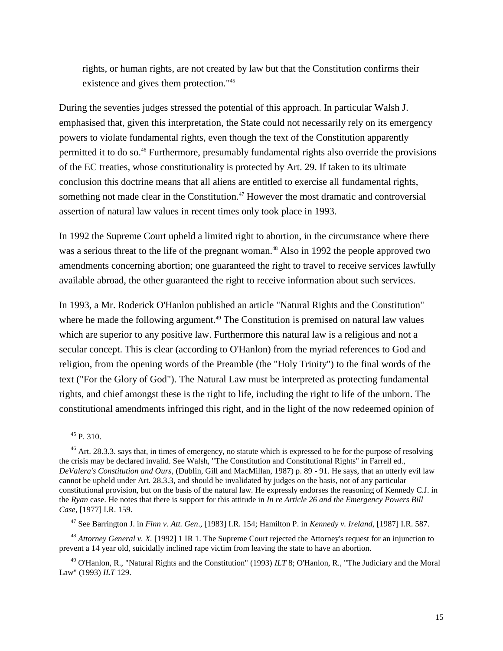rights, or human rights, are not created by law but that the Constitution confirms their existence and gives them protection."<sup>45</sup>

During the seventies judges stressed the potential of this approach. In particular Walsh J. emphasised that, given this interpretation, the State could not necessarily rely on its emergency powers to violate fundamental rights, even though the text of the Constitution apparently permitted it to do so.<sup>46</sup> Furthermore, presumably fundamental rights also override the provisions of the EC treaties, whose constitutionality is protected by Art. 29. If taken to its ultimate conclusion this doctrine means that all aliens are entitled to exercise all fundamental rights, something not made clear in the Constitution.<sup>47</sup> However the most dramatic and controversial assertion of natural law values in recent times only took place in 1993.

In 1992 the Supreme Court upheld a limited right to abortion, in the circumstance where there was a serious threat to the life of the pregnant woman.<sup>48</sup> Also in 1992 the people approved two amendments concerning abortion; one guaranteed the right to travel to receive services lawfully available abroad, the other guaranteed the right to receive information about such services.

In 1993, a Mr. Roderick O'Hanlon published an article "Natural Rights and the Constitution" where he made the following argument.<sup>49</sup> The Constitution is premised on natural law values which are superior to any positive law. Furthermore this natural law is a religious and not a secular concept. This is clear (according to O'Hanlon) from the myriad references to God and religion, from the opening words of the Preamble (the "Holy Trinity") to the final words of the text ("For the Glory of God"). The Natural Law must be interpreted as protecting fundamental rights, and chief amongst these is the right to life, including the right to life of the unborn. The constitutional amendments infringed this right, and in the light of the now redeemed opinion of

<sup>47</sup> See Barrington J. in *Finn v. Att. Gen*., [1983] I.R. 154; Hamilton P. in *Kennedy v. Ireland*, [1987] I.R. 587.

<sup>48</sup> *Attorney General v. X.* [1992] 1 IR 1. The Supreme Court rejected the Attorney's request for an injunction to prevent a 14 year old, suicidally inclined rape victim from leaving the state to have an abortion.

<sup>45</sup> P. 310.

 $^{46}$  Art. 28.3.3. says that, in times of emergency, no statute which is expressed to be for the purpose of resolving the crisis may be declared invalid. See Walsh, "The Constitution and Constitutional Rights" in Farrell ed., *DeValera's Constitution and Ours*, (Dublin, Gill and MacMillan, 1987) p. 89 - 91. He says, that an utterly evil law cannot be upheld under Art. 28.3.3, and should be invalidated by judges on the basis, not of any particular constitutional provision, but on the basis of the natural law. He expressly endorses the reasoning of Kennedy C.J. in the *Ryan* case. He notes that there is support for this attitude in *In re Article 26 and the Emergency Powers Bill Case*, [1977] I.R. 159.

<sup>49</sup> O'Hanlon, R., "Natural Rights and the Constitution" (1993) *ILT* 8; O'Hanlon, R., "The Judiciary and the Moral Law" (1993) *ILT* 129.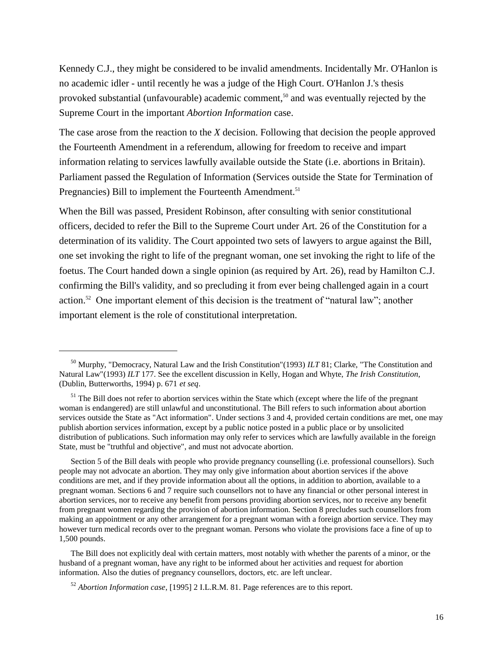Kennedy C.J., they might be considered to be invalid amendments. Incidentally Mr. O'Hanlon is no academic idler - until recently he was a judge of the High Court. O'Hanlon J.'s thesis provoked substantial (unfavourable) academic comment,<sup>50</sup> and was eventually rejected by the Supreme Court in the important *Abortion Information* case.

The case arose from the reaction to the *X* decision. Following that decision the people approved the Fourteenth Amendment in a referendum, allowing for freedom to receive and impart information relating to services lawfully available outside the State (i.e. abortions in Britain). Parliament passed the Regulation of Information (Services outside the State for Termination of Pregnancies) Bill to implement the Fourteenth Amendment.<sup>51</sup>

When the Bill was passed, President Robinson, after consulting with senior constitutional officers, decided to refer the Bill to the Supreme Court under Art. 26 of the Constitution for a determination of its validity. The Court appointed two sets of lawyers to argue against the Bill, one set invoking the right to life of the pregnant woman, one set invoking the right to life of the foetus. The Court handed down a single opinion (as required by Art. 26), read by Hamilton C.J. confirming the Bill's validity, and so precluding it from ever being challenged again in a court action.<sup>52</sup> One important element of this decision is the treatment of "natural law"; another important element is the role of constitutional interpretation.

 $\overline{a}$ 

<sup>50</sup> Murphy, "Democracy, Natural Law and the Irish Constitution"(1993) *ILT* 81; Clarke, "The Constitution and Natural Law"(1993) *ILT* 177. See the excellent discussion in Kelly, Hogan and Whyte, *The Irish Constitution*, (Dublin, Butterworths, 1994) p. 671 *et seq*.

<sup>&</sup>lt;sup>51</sup> The Bill does not refer to abortion services within the State which (except where the life of the pregnant woman is endangered) are still unlawful and unconstitutional. The Bill refers to such information about abortion services outside the State as "Act information". Under sections 3 and 4, provided certain conditions are met, one may publish abortion services information, except by a public notice posted in a public place or by unsolicited distribution of publications. Such information may only refer to services which are lawfully available in the foreign State, must be "truthful and objective", and must not advocate abortion.

Section 5 of the Bill deals with people who provide pregnancy counselling (i.e. professional counsellors). Such people may not advocate an abortion. They may only give information about abortion services if the above conditions are met, and if they provide information about all the options, in addition to abortion, available to a pregnant woman. Sections 6 and 7 require such counsellors not to have any financial or other personal interest in abortion services, nor to receive any benefit from persons providing abortion services, nor to receive any benefit from pregnant women regarding the provision of abortion information. Section 8 precludes such counsellors from making an appointment or any other arrangement for a pregnant woman with a foreign abortion service. They may however turn medical records over to the pregnant woman. Persons who violate the provisions face a fine of up to 1,500 pounds.

The Bill does not explicitly deal with certain matters, most notably with whether the parents of a minor, or the husband of a pregnant woman, have any right to be informed about her activities and request for abortion information. Also the duties of pregnancy counsellors, doctors, etc. are left unclear.

<sup>52</sup> *Abortion Information case*, [1995] 2 I.L.R.M. 81. Page references are to this report.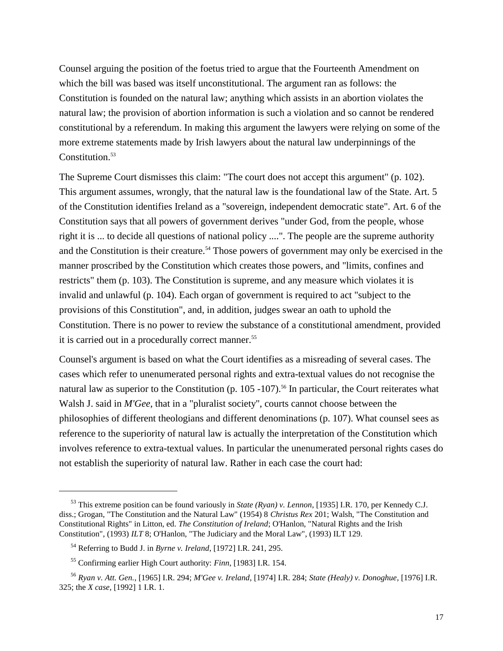Counsel arguing the position of the foetus tried to argue that the Fourteenth Amendment on which the bill was based was itself unconstitutional. The argument ran as follows: the Constitution is founded on the natural law; anything which assists in an abortion violates the natural law; the provision of abortion information is such a violation and so cannot be rendered constitutional by a referendum. In making this argument the lawyers were relying on some of the more extreme statements made by Irish lawyers about the natural law underpinnings of the Constitution.<sup>53</sup>

The Supreme Court dismisses this claim: "The court does not accept this argument" (p. 102). This argument assumes, wrongly, that the natural law is the foundational law of the State. Art. 5 of the Constitution identifies Ireland as a "sovereign, independent democratic state". Art. 6 of the Constitution says that all powers of government derives "under God, from the people, whose right it is ... to decide all questions of national policy ....". The people are the supreme authority and the Constitution is their creature.<sup>54</sup> Those powers of government may only be exercised in the manner proscribed by the Constitution which creates those powers, and "limits, confines and restricts" them (p. 103). The Constitution is supreme, and any measure which violates it is invalid and unlawful (p. 104). Each organ of government is required to act "subject to the provisions of this Constitution", and, in addition, judges swear an oath to uphold the Constitution. There is no power to review the substance of a constitutional amendment, provided it is carried out in a procedurally correct manner.<sup>55</sup>

Counsel's argument is based on what the Court identifies as a misreading of several cases. The cases which refer to unenumerated personal rights and extra-textual values do not recognise the natural law as superior to the Constitution (p.  $105 - 107$ ).<sup>56</sup> In particular, the Court reiterates what Walsh J. said in *M'Gee*, that in a "pluralist society", courts cannot choose between the philosophies of different theologians and different denominations (p. 107). What counsel sees as reference to the superiority of natural law is actually the interpretation of the Constitution which involves reference to extra-textual values. In particular the unenumerated personal rights cases do not establish the superiority of natural law. Rather in each case the court had:

 $\overline{a}$ 

<sup>53</sup> This extreme position can be found variously in *State (Ryan) v. Lennon*, [1935] I.R. 170, per Kennedy C.J. diss.; Grogan, "The Constitution and the Natural Law" (1954) 8 *Christus Rex* 201; Walsh, "The Constitution and Constitutional Rights" in Litton, ed. *The Constitution of Ireland*; O'Hanlon, "Natural Rights and the Irish Constitution", (1993) *ILT* 8; O'Hanlon, "The Judiciary and the Moral Law", (1993) ILT 129.

<sup>54</sup> Referring to Budd J. in *Byrne v. Ireland*, [1972] I.R. 241, 295.

<sup>55</sup> Confirming earlier High Court authority: *Finn*, [1983] I.R. 154.

<sup>56</sup> *Ryan v. Att. Gen.*, [1965] I.R. 294; *M'Gee v. Ireland*, [1974] I.R. 284; *State (Healy) v. Donoghue*, [1976] I.R. 325; the *X case*, [1992] 1 I.R. 1.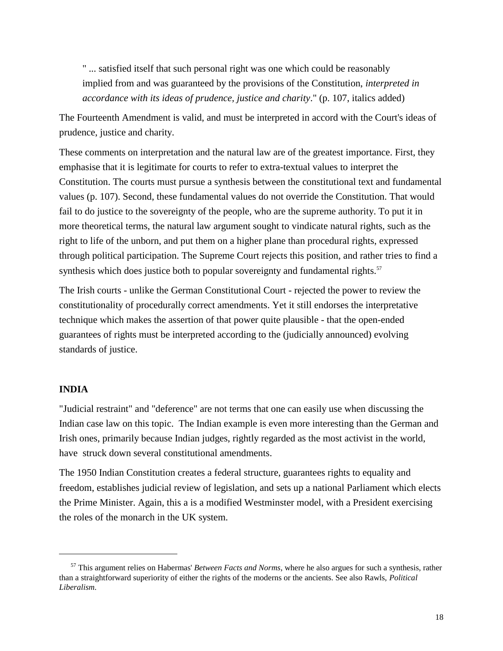" ... satisfied itself that such personal right was one which could be reasonably implied from and was guaranteed by the provisions of the Constitution, *interpreted in accordance with its ideas of prudence, justice and charity*." (p. 107, italics added)

The Fourteenth Amendment is valid, and must be interpreted in accord with the Court's ideas of prudence, justice and charity.

These comments on interpretation and the natural law are of the greatest importance. First, they emphasise that it is legitimate for courts to refer to extra-textual values to interpret the Constitution. The courts must pursue a synthesis between the constitutional text and fundamental values (p. 107). Second, these fundamental values do not override the Constitution. That would fail to do justice to the sovereignty of the people, who are the supreme authority. To put it in more theoretical terms, the natural law argument sought to vindicate natural rights, such as the right to life of the unborn, and put them on a higher plane than procedural rights, expressed through political participation. The Supreme Court rejects this position, and rather tries to find a synthesis which does justice both to popular sovereignty and fundamental rights.<sup>57</sup>

The Irish courts - unlike the German Constitutional Court - rejected the power to review the constitutionality of procedurally correct amendments. Yet it still endorses the interpretative technique which makes the assertion of that power quite plausible - that the open-ended guarantees of rights must be interpreted according to the (judicially announced) evolving standards of justice.

### **INDIA**

l

"Judicial restraint" and "deference" are not terms that one can easily use when discussing the Indian case law on this topic. The Indian example is even more interesting than the German and Irish ones, primarily because Indian judges, rightly regarded as the most activist in the world, have struck down several constitutional amendments.

The 1950 Indian Constitution creates a federal structure, guarantees rights to equality and freedom, establishes judicial review of legislation, and sets up a national Parliament which elects the Prime Minister. Again, this a is a modified Westminster model, with a President exercising the roles of the monarch in the UK system.

<sup>57</sup> This argument relies on Habermas' *Between Facts and Norms*, where he also argues for such a synthesis, rather than a straightforward superiority of either the rights of the moderns or the ancients. See also Rawls, *Political Liberalism*.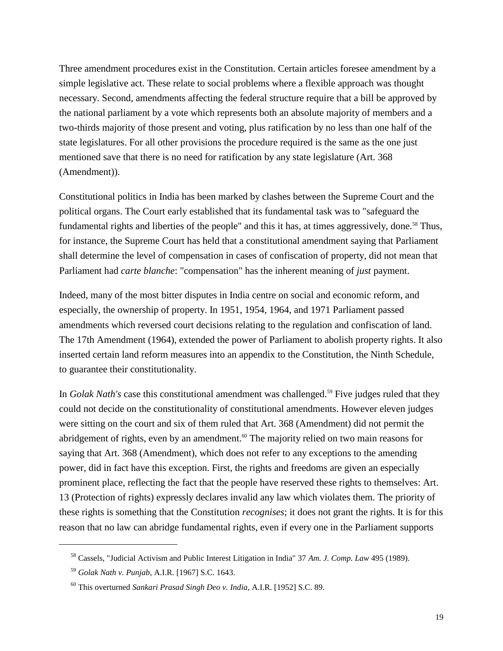Three amendment procedures exist in the Constitution. Certain articles foresee amendment by a simple legislative act. These relate to social problems where a flexible approach was thought necessary. Second, amendments affecting the federal structure require that a bill be approved by the national parliament by a vote which represents both an absolute majority of members and a two-thirds majority of those present and voting, plus ratification by no less than one half of the state legislatures. For all other provisions the procedure required is the same as the one just mentioned save that there is no need for ratification by any state legislature (Art. 368 (Amendment)).

Constitutional politics in India has been marked by clashes between the Supreme Court and the political organs. The Court early established that its fundamental task was to "safeguard the fundamental rights and liberties of the people" and this it has, at times aggressively, done.<sup>58</sup> Thus, for instance, the Supreme Court has held that a constitutional amendment saying that Parliament shall determine the level of compensation in cases of confiscation of property, did not mean that Parliament had *carte blanche*: "compensation" has the inherent meaning of *just* payment.

Indeed, many of the most bitter disputes in India centre on social and economic reform, and especially, the ownership of property. In 1951, 1954, 1964, and 1971 Parliament passed amendments which reversed court decisions relating to the regulation and confiscation of land. The 17th Amendment (1964), extended the power of Parliament to abolish property rights. It also inserted certain land reform measures into an appendix to the Constitution, the Ninth Schedule, to guarantee their constitutionality.

In *Golak Nath's* case this constitutional amendment was challenged.<sup>59</sup> Five judges ruled that they could not decide on the constitutionality of constitutional amendments. However eleven judges were sitting on the court and six of them ruled that Art. 368 (Amendment) did not permit the abridgement of rights, even by an amendment.<sup>60</sup> The majority relied on two main reasons for saying that Art. 368 (Amendment), which does not refer to any exceptions to the amending power, did in fact have this exception. First, the rights and freedoms are given an especially prominent place, reflecting the fact that the people have reserved these rights to themselves: Art. 13 (Protection of rights) expressly declares invalid any law which violates them. The priority of these rights is something that the Constitution *recognises*; it does not grant the rights. It is for this reason that no law can abridge fundamental rights, even if every one in the Parliament supports

<sup>58</sup> Cassels, "Judicial Activism and Public Interest Litigation in India" 37 *Am. J. Comp. Law* 495 (1989).

<sup>59</sup> *Golak Nath v. Punjab*, A.I.R. [1967] S.C. 1643.

<sup>60</sup> This overturned *Sankari Prasad Singh Deo v. India*, A.I.R. [1952] S.C. 89.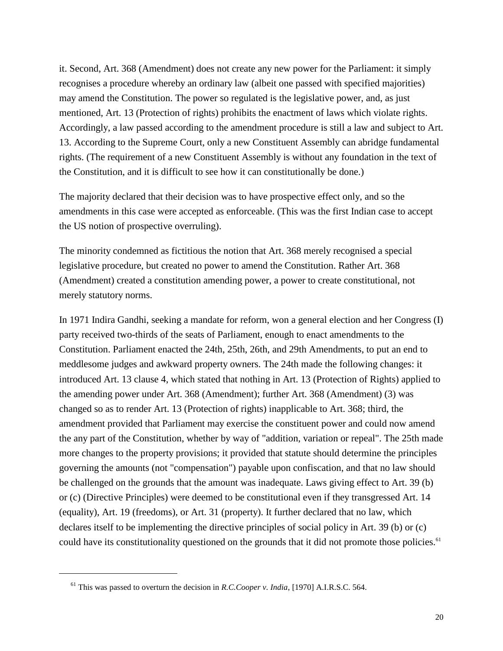it. Second, Art. 368 (Amendment) does not create any new power for the Parliament: it simply recognises a procedure whereby an ordinary law (albeit one passed with specified majorities) may amend the Constitution. The power so regulated is the legislative power, and, as just mentioned, Art. 13 (Protection of rights) prohibits the enactment of laws which violate rights. Accordingly, a law passed according to the amendment procedure is still a law and subject to Art. 13. According to the Supreme Court, only a new Constituent Assembly can abridge fundamental rights. (The requirement of a new Constituent Assembly is without any foundation in the text of the Constitution, and it is difficult to see how it can constitutionally be done.)

The majority declared that their decision was to have prospective effect only, and so the amendments in this case were accepted as enforceable. (This was the first Indian case to accept the US notion of prospective overruling).

The minority condemned as fictitious the notion that Art. 368 merely recognised a special legislative procedure, but created no power to amend the Constitution. Rather Art. 368 (Amendment) created a constitution amending power, a power to create constitutional, not merely statutory norms.

In 1971 Indira Gandhi, seeking a mandate for reform, won a general election and her Congress (I) party received two-thirds of the seats of Parliament, enough to enact amendments to the Constitution. Parliament enacted the 24th, 25th, 26th, and 29th Amendments, to put an end to meddlesome judges and awkward property owners. The 24th made the following changes: it introduced Art. 13 clause 4, which stated that nothing in Art. 13 (Protection of Rights) applied to the amending power under Art. 368 (Amendment); further Art. 368 (Amendment) (3) was changed so as to render Art. 13 (Protection of rights) inapplicable to Art. 368; third, the amendment provided that Parliament may exercise the constituent power and could now amend the any part of the Constitution, whether by way of "addition, variation or repeal". The 25th made more changes to the property provisions; it provided that statute should determine the principles governing the amounts (not "compensation") payable upon confiscation, and that no law should be challenged on the grounds that the amount was inadequate. Laws giving effect to Art. 39 (b) or (c) (Directive Principles) were deemed to be constitutional even if they transgressed Art. 14 (equality), Art. 19 (freedoms), or Art. 31 (property). It further declared that no law, which declares itself to be implementing the directive principles of social policy in Art. 39 (b) or (c) could have its constitutionality questioned on the grounds that it did not promote those policies.<sup>61</sup>

 $\overline{a}$ 

<sup>61</sup> This was passed to overturn the decision in *R.C.Cooper v. India*, [1970] A.I.R.S.C. 564.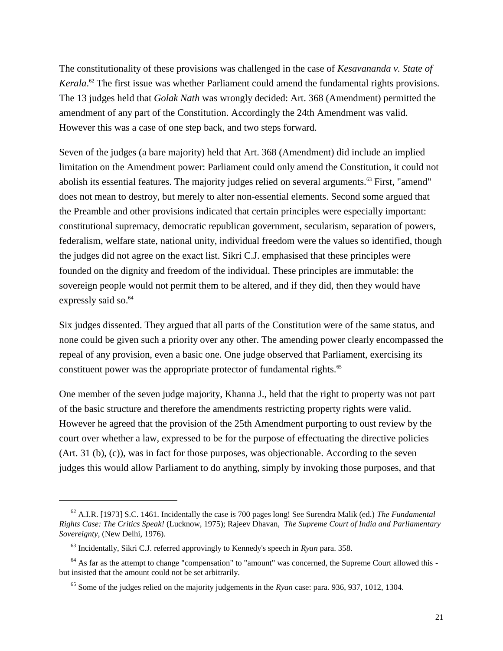The constitutionality of these provisions was challenged in the case of *Kesavananda v. State of*  Kerala.<sup>62</sup> The first issue was whether Parliament could amend the fundamental rights provisions. The 13 judges held that *Golak Nath* was wrongly decided: Art. 368 (Amendment) permitted the amendment of any part of the Constitution. Accordingly the 24th Amendment was valid. However this was a case of one step back, and two steps forward.

Seven of the judges (a bare majority) held that Art. 368 (Amendment) did include an implied limitation on the Amendment power: Parliament could only amend the Constitution, it could not abolish its essential features. The majority judges relied on several arguments.<sup>63</sup> First, "amend" does not mean to destroy, but merely to alter non-essential elements. Second some argued that the Preamble and other provisions indicated that certain principles were especially important: constitutional supremacy, democratic republican government, secularism, separation of powers, federalism, welfare state, national unity, individual freedom were the values so identified, though the judges did not agree on the exact list. Sikri C.J. emphasised that these principles were founded on the dignity and freedom of the individual. These principles are immutable: the sovereign people would not permit them to be altered, and if they did, then they would have expressly said so.<sup>64</sup>

Six judges dissented. They argued that all parts of the Constitution were of the same status, and none could be given such a priority over any other. The amending power clearly encompassed the repeal of any provision, even a basic one. One judge observed that Parliament, exercising its constituent power was the appropriate protector of fundamental rights.<sup>65</sup>

One member of the seven judge majority, Khanna J., held that the right to property was not part of the basic structure and therefore the amendments restricting property rights were valid. However he agreed that the provision of the 25th Amendment purporting to oust review by the court over whether a law, expressed to be for the purpose of effectuating the directive policies (Art. 31 (b), (c)), was in fact for those purposes, was objectionable. According to the seven judges this would allow Parliament to do anything, simply by invoking those purposes, and that

 $\overline{\phantom{a}}$ 

<sup>62</sup> A.I.R. [1973] S.C. 1461. Incidentally the case is 700 pages long! See Surendra Malik (ed.) *The Fundamental Rights Case: The Critics Speak!* (Lucknow, 1975); Rajeev Dhavan, *The Supreme Court of India and Parliamentary Sovereignty*, (New Delhi, 1976).

<sup>63</sup> Incidentally, Sikri C.J. referred approvingly to Kennedy's speech in *Ryan* para. 358.

<sup>&</sup>lt;sup>64</sup> As far as the attempt to change "compensation" to "amount" was concerned, the Supreme Court allowed this but insisted that the amount could not be set arbitrarily.

<sup>65</sup> Some of the judges relied on the majority judgements in the *Ryan* case: para. 936, 937, 1012, 1304.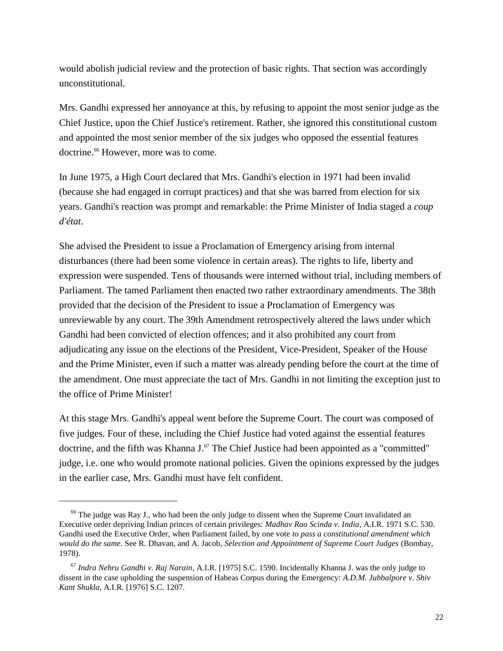would abolish judicial review and the protection of basic rights. That section was accordingly unconstitutional.

Mrs. Gandhi expressed her annoyance at this, by refusing to appoint the most senior judge as the Chief Justice, upon the Chief Justice's retirement. Rather, she ignored this constitutional custom and appointed the most senior member of the six judges who opposed the essential features doctrine.<sup>66</sup> However, more was to come.

In June 1975, a High Court declared that Mrs. Gandhi's election in 1971 had been invalid (because she had engaged in corrupt practices) and that she was barred from election for six years. Gandhi's reaction was prompt and remarkable: the Prime Minister of India staged a *coup d'état*.

She advised the President to issue a Proclamation of Emergency arising from internal disturbances (there had been some violence in certain areas). The rights to life, liberty and expression were suspended. Tens of thousands were interned without trial, including members of Parliament. The tamed Parliament then enacted two rather extraordinary amendments. The 38th provided that the decision of the President to issue a Proclamation of Emergency was unreviewable by any court. The 39th Amendment retrospectively altered the laws under which Gandhi had been convicted of election offences; and it also prohibited any court from adjudicating any issue on the elections of the President, Vice-President, Speaker of the House and the Prime Minister, even if such a matter was already pending before the court at the time of the amendment. One must appreciate the tact of Mrs. Gandhi in not limiting the exception just to the office of Prime Minister!

At this stage Mrs. Gandhi's appeal went before the Supreme Court. The court was composed of five judges. Four of these, including the Chief Justice had voted against the essential features doctrine, and the fifth was Khanna  $J<sup>67</sup>$ . The Chief Justice had been appointed as a "committed" judge, i.e. one who would promote national policies. Given the opinions expressed by the judges in the earlier case, Mrs. Gandhi must have felt confident.

<sup>&</sup>lt;sup>66</sup> The judge was Ray J., who had been the only judge to dissent when the Supreme Court invalidated an Executive order depriving Indian princes of certain privileges: *Madhav Rao Scinda v. India*, A.I.R. 1971 S.C. 530. Gandhi used the Executive Order, when Parliament failed, by one vote *to pass a constitutional amendment which would do the same*. See R. Dhavan, and A. Jacob, *Selection and Appointment of Supreme Court Judges* (Bombay, 1978).

<sup>67</sup> *Indra Nehru Gandhi v. Raj Narain*, A.I.R. [1975] S.C. 1590. Incidentally Khanna J. was the only judge to dissent in the case upholding the suspension of Habeas Corpus during the Emergency: *A.D.M. Jubbalpore v. Shiv Kant Shukla*, A.I.R. [1976] S.C. 1207.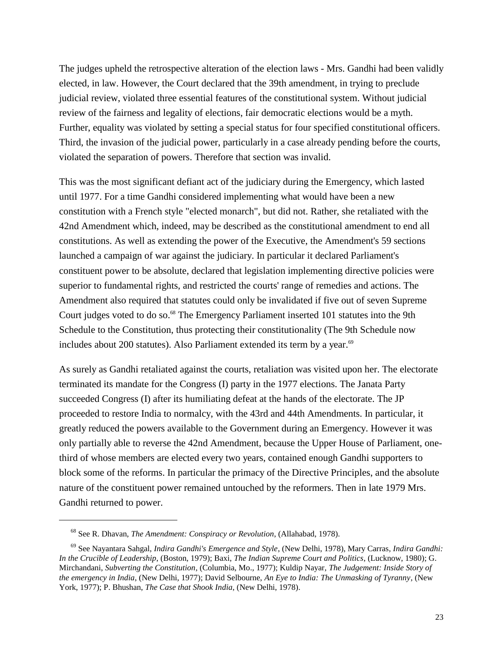The judges upheld the retrospective alteration of the election laws - Mrs. Gandhi had been validly elected, in law. However, the Court declared that the 39th amendment, in trying to preclude judicial review, violated three essential features of the constitutional system. Without judicial review of the fairness and legality of elections, fair democratic elections would be a myth. Further, equality was violated by setting a special status for four specified constitutional officers. Third, the invasion of the judicial power, particularly in a case already pending before the courts, violated the separation of powers. Therefore that section was invalid.

This was the most significant defiant act of the judiciary during the Emergency, which lasted until 1977. For a time Gandhi considered implementing what would have been a new constitution with a French style "elected monarch", but did not. Rather, she retaliated with the 42nd Amendment which, indeed, may be described as the constitutional amendment to end all constitutions. As well as extending the power of the Executive, the Amendment's 59 sections launched a campaign of war against the judiciary. In particular it declared Parliament's constituent power to be absolute, declared that legislation implementing directive policies were superior to fundamental rights, and restricted the courts' range of remedies and actions. The Amendment also required that statutes could only be invalidated if five out of seven Supreme Court judges voted to do so.<sup>68</sup> The Emergency Parliament inserted 101 statutes into the 9th Schedule to the Constitution, thus protecting their constitutionality (The 9th Schedule now includes about 200 statutes). Also Parliament extended its term by a year. $69$ 

As surely as Gandhi retaliated against the courts, retaliation was visited upon her. The electorate terminated its mandate for the Congress (I) party in the 1977 elections. The Janata Party succeeded Congress (I) after its humiliating defeat at the hands of the electorate. The JP proceeded to restore India to normalcy, with the 43rd and 44th Amendments. In particular, it greatly reduced the powers available to the Government during an Emergency. However it was only partially able to reverse the 42nd Amendment, because the Upper House of Parliament, onethird of whose members are elected every two years, contained enough Gandhi supporters to block some of the reforms. In particular the primacy of the Directive Principles, and the absolute nature of the constituent power remained untouched by the reformers. Then in late 1979 Mrs. Gandhi returned to power.

l

<sup>68</sup> See R. Dhavan, *The Amendment: Conspiracy or Revolution*, (Allahabad, 1978).

<sup>69</sup> See Nayantara Sahgal, *Indira Gandhi's Emergence and Style*, (New Delhi, 1978), Mary Carras*, Indira Gandhi: In the Crucible of Leadership*, (Boston, 1979); Baxi, *The Indian Supreme Court and Politics*, (Lucknow, 1980); G. Mirchandani, *Subverting the Constitution*, (Columbia, Mo., 1977); Kuldip Nayar, *The Judgement: Inside Story of the emergency in India*, (New Delhi, 1977); David Selbourne, *An Eye to India: The Unmasking of Tyranny*, (New York, 1977); P. Bhushan, *The Case that Shook India*, (New Delhi, 1978).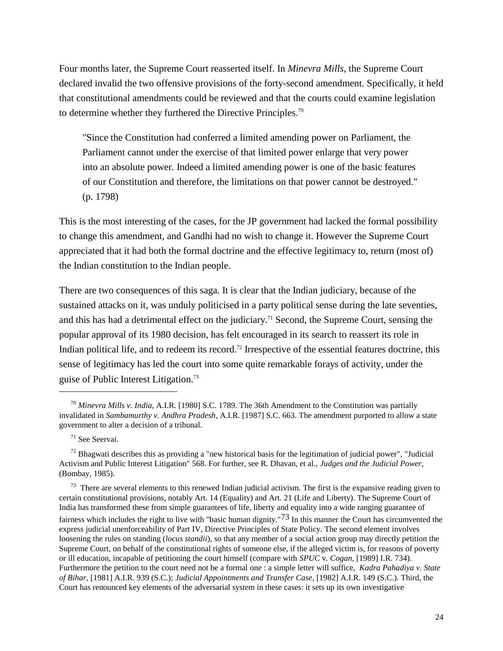Four months later, the Supreme Court reasserted itself. In *Minevra Mills*, the Supreme Court declared invalid the two offensive provisions of the forty-second amendment. Specifically, it held that constitutional amendments could be reviewed and that the courts could examine legislation to determine whether they furthered the Directive Principles.<sup>70</sup>

"Since the Constitution had conferred a limited amending power on Parliament, the Parliament cannot under the exercise of that limited power enlarge that very power into an absolute power. Indeed a limited amending power is one of the basic features of our Constitution and therefore, the limitations on that power cannot be destroyed." (p. 1798)

This is the most interesting of the cases, for the JP government had lacked the formal possibility to change this amendment, and Gandhi had no wish to change it. However the Supreme Court appreciated that it had both the formal doctrine and the effective legitimacy to, return (most of) the Indian constitution to the Indian people.

There are two consequences of this saga. It is clear that the Indian judiciary, because of the sustained attacks on it, was unduly politicised in a party political sense during the late seventies, and this has had a detrimental effect on the judiciary.<sup>71</sup> Second, the Supreme Court, sensing the popular approval of its 1980 decision, has felt encouraged in its search to reassert its role in Indian political life, and to redeem its record.<sup>72</sup> Irrespective of the essential features doctrine, this sense of legitimacy has led the court into some quite remarkable forays of activity, under the guise of Public Interest Litigation.<sup>73</sup>

 $\overline{\phantom{a}}$ 

 $73$  There are several elements to this renewed Indian judicial activism. The first is the expansive reading given to certain constitutional provisions, notably Art. 14 (Equality) and Art. 21 (Life and Liberty). The Supreme Court of India has transformed these from simple guarantees of life, liberty and equality into a wide ranging guarantee of fairness which includes the right to live with "basic human dignity."73 In this manner the Court has circumvented the express judicial unenforceability of Part IV, Directive Principles of State Policy. The second element involves loosening the rules on standing (*locus standii*), so that any member of a social action group may directly petition the Supreme Court, on behalf of the constitutional rights of someone else, if the alleged victim is, for reasons of poverty or ill education, incapable of petitioning the court himself (compare with *SPUC* v. *Cogan*, [1989] I.R. 734). Furthermore the petition to the court need not be a formal one : a simple letter will suffice, *Kadra Pahadiya v. State of Bihar,* [1981] A.I.R. 939 (S.C.); *Judicial Appointments and Transfer Case*, [1982] A.I.R. 149 (S.C.). Third, the Court has renounced key elements of the adversarial system in these cases: it sets up its own investigative

<sup>70</sup> *Minevra Mills v. India*, A.I.R. [1980] S.C. 1789. The 36th Amendment to the Constitution was partially invalidated in *Sambamurthy v. Andhra Pradesh*, A.I.R. [1987] S.C. 663. The amendment purported to allow a state government to alter a decision of a tribunal.

<sup>71</sup> See Seervai.

 $72$  Bhagwati describes this as providing a "new historical basis for the legitimation of judicial power", "Judicial Activism and Public Interest Litigation" 568. For further, see R. Dhavan, et al., *Judges and the Judicial Power*, (Bombay, 1985).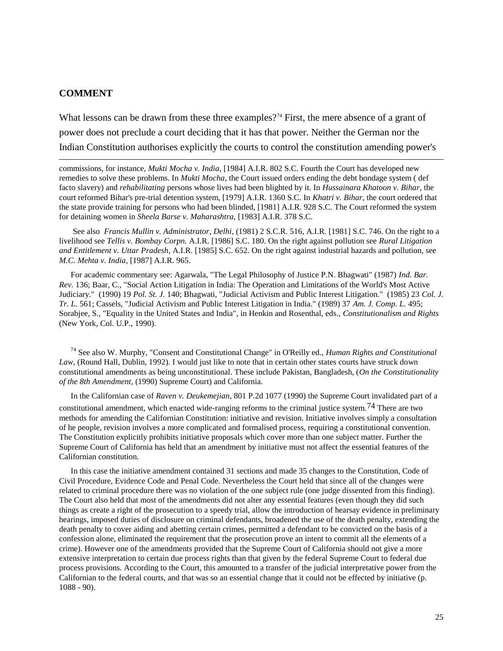#### **COMMENT**

 $\overline{\phantom{a}}$ 

What lessons can be drawn from these three examples?<sup>74</sup> First, the mere absence of a grant of power does not preclude a court deciding that it has that power. Neither the German nor the Indian Constitution authorises explicitly the courts to control the constitution amending power's

commissions, for instance, *Mukti Mocha v. India*, [1984] A.I.R. 802 S.C. Fourth the Court has developed new remedies to solve these problems. In *Mukti Mocha*, the Court issued orders ending the debt bondage system ( def facto slavery) and *rehabilitating* persons whose lives had been blighted by it. In *Hussainara Khatoon v. Bihar*, the court reformed Bihar's pre-trial detention system, [1979] A.I.R. 1360 S.C. In *Khatri v. Bihar*, the court ordered that the state provide training for persons who had been blinded, [1981] A.I.R. 928 S.C. The Court reformed the system for detaining women in *Sheela Barse v. Maharashtra,* [1983] A.I.R. 378 S.C.

See also *Francis Mullin v. Administrator, Delhi*, (1981) 2 S.C.R. 516, A.I.R. [1981] S.C. 746. On the right to a livelihood see *Tellis v. Bombay Corpn.* A.I.R. [1986] S.C. 180. On the right against pollution see *Rural Litigation and Entitlement v. Uttar Pradesh*, A.I.R. [1985] S.C. 652. On the right against industrial hazards and pollution, see *M.C. Mehta v. India*, [1987] A.I.R. 965.

For academic commentary see: Agarwala, "The Legal Philosophy of Justice P.N. Bhagwati" (1987) *Ind. Bar. Rev.* 136; Baar, C., "Social Action Litigation in India: The Operation and Limitations of the World's Most Active Judiciary." (1990) 19 *Pol. St. J.* 140; Bhagwati, "Judicial Activism and Public Interest Litigation." (1985) 23 *Col. J. Tr. L.* 561; Cassels, "Judicial Activism and Public Interest Litigation in India." (1989) 37 *Am. J. Comp. L.* 495; Sorabjee, S., "Equality in the United States and India", in Henkin and Rosenthal, eds., *Constitutionalism and Rights* (New York, Col. U.P., 1990).

<sup>74</sup> See also W. Murphy, "Consent and Constitutional Change" in O'Reilly ed., *Human Rights and Constitutional Law*, (Round Hall, Dublin, 1992). I would just like to note that in certain other states courts have struck down constitutional amendments as being unconstitutional. These include Pakistan, Bangladesh, (*On the Constitutionality of the 8th Amendment*, (1990) Supreme Court) and California.

In the Californian case of *Raven v. Deukemejian*, 801 P.2d 1077 (1990) the Supreme Court invalidated part of a constitutional amendment, which enacted wide-ranging reforms to the criminal justice system.74 There are two methods for amending the Californian Constitution: initiative and revision. Initiative involves simply a consultation of he people, revision involves a more complicated and formalised process, requiring a constitutional convention. The Constitution explicitly prohibits initiative proposals which cover more than one subject matter. Further the Supreme Court of California has held that an amendment by initiative must not affect the essential features of the Californian constitution.

In this case the initiative amendment contained 31 sections and made 35 changes to the Constitution, Code of Civil Procedure, Evidence Code and Penal Code. Nevertheless the Court held that since all of the changes were related to criminal procedure there was no violation of the one subject rule (one judge dissented from this finding). The Court also held that most of the amendments did not alter any essential features (even though they did such things as create a right of the prosecution to a speedy trial, allow the introduction of hearsay evidence in preliminary hearings, imposed duties of disclosure on criminal defendants, broadened the use of the death penalty, extending the death penalty to cover aiding and abetting certain crimes, permitted a defendant to be convicted on the basis of a confession alone, eliminated the requirement that the prosecution prove an intent to commit all the elements of a crime). However one of the amendments provided that the Supreme Court of California should not give a more extensive interpretation to certain due process rights than that given by the federal Supreme Court to federal due process provisions. According to the Court, this amounted to a transfer of the judicial interpretative power from the Californian to the federal courts, and that was so an essential change that it could not be effected by initiative (p. 1088 - 90).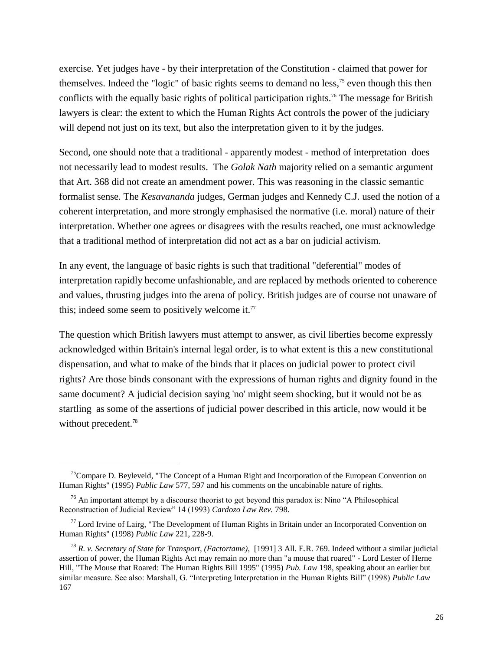exercise. Yet judges have - by their interpretation of the Constitution - claimed that power for themselves. Indeed the "logic" of basic rights seems to demand no less,<sup>75</sup> even though this then conflicts with the equally basic rights of political participation rights.<sup>76</sup> The message for British lawyers is clear: the extent to which the Human Rights Act controls the power of the judiciary will depend not just on its text, but also the interpretation given to it by the judges.

Second, one should note that a traditional - apparently modest - method of interpretation does not necessarily lead to modest results. The *Golak Nath* majority relied on a semantic argument that Art. 368 did not create an amendment power. This was reasoning in the classic semantic formalist sense. The *Kesavananda* judges, German judges and Kennedy C.J. used the notion of a coherent interpretation, and more strongly emphasised the normative (i.e. moral) nature of their interpretation. Whether one agrees or disagrees with the results reached, one must acknowledge that a traditional method of interpretation did not act as a bar on judicial activism.

In any event, the language of basic rights is such that traditional "deferential" modes of interpretation rapidly become unfashionable, and are replaced by methods oriented to coherence and values, thrusting judges into the arena of policy. British judges are of course not unaware of this; indeed some seem to positively welcome it.<sup>77</sup>

The question which British lawyers must attempt to answer, as civil liberties become expressly acknowledged within Britain's internal legal order, is to what extent is this a new constitutional dispensation, and what to make of the binds that it places on judicial power to protect civil rights? Are those binds consonant with the expressions of human rights and dignity found in the same document? A judicial decision saying 'no' might seem shocking, but it would not be as startling as some of the assertions of judicial power described in this article, now would it be without precedent.<sup>78</sup>

<sup>&</sup>lt;sup>75</sup>Compare D. Beyleveld, "The Concept of a Human Right and Incorporation of the European Convention on Human Rights" (1995) *Public Law* 577, 597 and his comments on the uncabinable nature of rights.

<sup>&</sup>lt;sup>76</sup> An important attempt by a discourse theorist to get beyond this paradox is: Nino "A Philosophical Reconstruction of Judicial Review" 14 (1993) *Cardozo Law Rev.* 798.

 $77$  Lord Irvine of Lairg, "The Development of Human Rights in Britain under an Incorporated Convention on Human Rights" (1998) *Public Law* 221, 228-9.

<sup>78</sup> *R. v. Secretary of State for Transport, (Factortame)*, [1991] 3 All. E.R. 769. Indeed without a similar judicial assertion of power, the Human Rights Act may remain no more than "a mouse that roared" - Lord Lester of Herne Hill, "The Mouse that Roared: The Human Rights Bill 1995" (1995) *Pub. Law* 198, speaking about an earlier but similar measure. See also: Marshall, G. "Interpreting Interpretation in the Human Rights Bill" (1998) *Public Law* 167